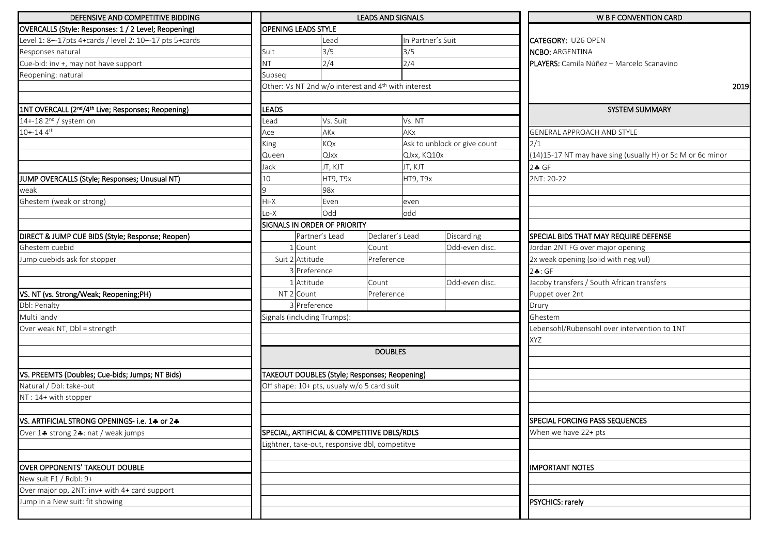| DEFENSIVE AND COMPETITIVE BIDDING                                          |                                                     |                                         |                                                | <b>LEADS AND SIGNALS</b> |                              | <b>W B F CONVENTION CARD</b>                               |                                              |  |
|----------------------------------------------------------------------------|-----------------------------------------------------|-----------------------------------------|------------------------------------------------|--------------------------|------------------------------|------------------------------------------------------------|----------------------------------------------|--|
| OVERCALLS (Style: Responses: 1 / 2 Level; Reopening)                       | <b>OPENING LEADS STYLE</b>                          |                                         |                                                |                          |                              |                                                            |                                              |  |
| Level 1: 8+-17pts 4+cards / level 2: 10+-17 pts 5+cards                    |                                                     |                                         | Lead                                           |                          | In Partner's Suit            |                                                            | <b>CATEGORY: U26 OPEN</b>                    |  |
| Responses natural                                                          | Suit                                                |                                         | 3/5                                            |                          | 3/5                          |                                                            | <b>NCBO: ARGENTINA</b>                       |  |
| Cue-bid: inv +, may not have support                                       | <b>NT</b>                                           |                                         | 2/4                                            |                          | 2/4                          |                                                            | PLAYERS: Camila Núñez - Marcelo Scanavino    |  |
| Reopening: natural                                                         | Subseq                                              |                                         |                                                |                          |                              |                                                            |                                              |  |
|                                                                            | Other: Vs NT 2nd w/o interest and 4th with interest |                                         |                                                |                          |                              |                                                            | 2019                                         |  |
|                                                                            |                                                     |                                         |                                                |                          |                              |                                                            |                                              |  |
| 1NT OVERCALL (2 <sup>nd</sup> /4 <sup>th</sup> Live; Responses; Reopening) | <b>LEADS</b>                                        |                                         |                                                |                          |                              |                                                            | <b>SYSTEM SUMMARY</b>                        |  |
| 14+-18 2 <sup>nd</sup> / system on                                         | Vs. Suit<br>_ead                                    |                                         | Vs. NT                                         |                          |                              |                                                            |                                              |  |
| $10 + -144$                                                                |                                                     |                                         | AKx                                            |                          | AKx                          |                                                            | <b>GENERAL APPROACH AND STYLE</b>            |  |
|                                                                            | King                                                | KQx<br>QJxx<br>Queen<br>Jack<br>JT, KJT |                                                |                          | Ask to unblock or give count |                                                            | 2/1                                          |  |
|                                                                            |                                                     |                                         |                                                | QJxx, KQ10x              |                              | (14)15-17 NT may have sing (usually H) or 5c M or 6c minor |                                              |  |
|                                                                            |                                                     |                                         |                                                |                          | JT, KJT                      |                                                            | $2 - F$                                      |  |
| JUMP OVERCALLS (Style; Responses; Unusual NT)                              | 10                                                  |                                         | HT9, T9x                                       |                          | HT9, T9x                     |                                                            | 2NT: 20-22                                   |  |
| weak                                                                       |                                                     |                                         | 98x                                            |                          |                              |                                                            |                                              |  |
| Ghestem (weak or strong)                                                   | Hi-X                                                |                                         | Even                                           |                          | even                         |                                                            |                                              |  |
|                                                                            | $Lo-X$                                              |                                         | Odd                                            |                          | odd                          |                                                            |                                              |  |
|                                                                            | SIGNALS IN ORDER OF PRIORITY                        |                                         |                                                |                          |                              |                                                            |                                              |  |
| DIRECT & JUMP CUE BIDS (Style; Response; Reopen)                           |                                                     | Partner's Lead                          |                                                | Declarer's Lead          |                              | Discarding                                                 | SPECIAL BIDS THAT MAY REQUIRE DEFENSE        |  |
| Ghestem cuebid                                                             |                                                     | 1 Count<br>Count                        |                                                |                          |                              | Odd-even disc.                                             | Jordan 2NT FG over major opening             |  |
| Jump cuebids ask for stopper                                               | Suit 2 Attitude                                     |                                         | Preference                                     |                          |                              |                                                            | 2x weak opening (solid with neg vul)         |  |
|                                                                            | 3 Preference                                        |                                         |                                                |                          |                              |                                                            | 24:GF                                        |  |
|                                                                            |                                                     | Attitude                                | Count                                          |                          |                              | Odd-even disc.                                             | Jacoby transfers / South African transfers   |  |
| VS. NT (vs. Strong/Weak; Reopening;PH)                                     |                                                     | NT 2 Count                              |                                                | Preference               |                              |                                                            | Puppet over 2nt                              |  |
| Dbl: Penalty                                                               |                                                     | 3 Preference                            |                                                |                          |                              | Drury                                                      |                                              |  |
| Multi landy                                                                | Signals (including Trumps):                         |                                         |                                                |                          |                              |                                                            | Ghestem                                      |  |
| Over weak NT, Dbl = strength                                               |                                                     |                                         |                                                |                          |                              |                                                            | Lebensohl/Rubensohl over intervention to 1NT |  |
|                                                                            |                                                     |                                         |                                                |                          |                              |                                                            | XYZ                                          |  |
|                                                                            |                                                     |                                         |                                                | <b>DOUBLES</b>           |                              |                                                            |                                              |  |
|                                                                            |                                                     |                                         |                                                |                          |                              |                                                            |                                              |  |
| VS. PREEMTS (Doubles; Cue-bids; Jumps; NT Bids)                            |                                                     |                                         | TAKEOUT DOUBLES (Style; Responses; Reopening)  |                          |                              |                                                            |                                              |  |
| Natural / Dbl: take-out                                                    |                                                     |                                         | Off shape: 10+ pts, usualy w/o 5 card suit     |                          |                              |                                                            |                                              |  |
| NT: 14+ with stopper                                                       |                                                     |                                         |                                                |                          |                              |                                                            |                                              |  |
|                                                                            |                                                     |                                         |                                                |                          |                              |                                                            |                                              |  |
| VS. ARTIFICIAL STRONG OPENINGS- i.e. 14 or 24                              |                                                     |                                         |                                                |                          |                              |                                                            | <b>SPECIAL FORCING PASS SEQUENCES</b>        |  |
| Over 14 strong 24: nat / weak jumps                                        | SPECIAL, ARTIFICIAL & COMPETITIVE DBLS/RDLS         |                                         |                                                |                          |                              |                                                            | When we have 22+ pts                         |  |
|                                                                            |                                                     |                                         | Lightner, take-out, responsive dbl, competitve |                          |                              |                                                            |                                              |  |
|                                                                            |                                                     |                                         |                                                |                          |                              |                                                            |                                              |  |
| OVER OPPONENTS' TAKEOUT DOUBLE                                             |                                                     |                                         |                                                |                          |                              |                                                            | <b>IMPORTANT NOTES</b>                       |  |
| New suit F1 / Rdbl: 9+                                                     |                                                     |                                         |                                                |                          |                              |                                                            |                                              |  |
| Over major op, 2NT: inv+ with 4+ card support                              |                                                     |                                         |                                                |                          |                              |                                                            |                                              |  |
| Jump in a New suit: fit showing                                            |                                                     |                                         |                                                |                          |                              |                                                            | PSYCHICS: rarely                             |  |
|                                                                            |                                                     |                                         |                                                |                          |                              |                                                            |                                              |  |